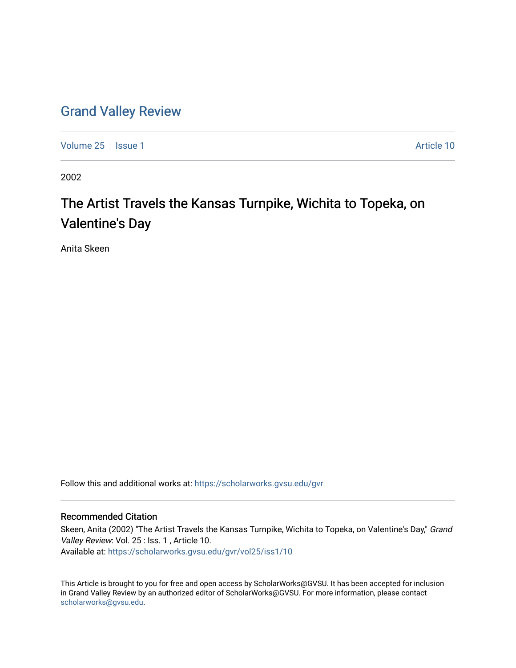## [Grand Valley Review](https://scholarworks.gvsu.edu/gvr)

[Volume 25](https://scholarworks.gvsu.edu/gvr/vol25) | [Issue 1](https://scholarworks.gvsu.edu/gvr/vol25/iss1) Article 10

2002

## The Artist Travels the Kansas Turnpike, Wichita to Topeka, on Valentine's Day

Anita Skeen

Follow this and additional works at: [https://scholarworks.gvsu.edu/gvr](https://scholarworks.gvsu.edu/gvr?utm_source=scholarworks.gvsu.edu%2Fgvr%2Fvol25%2Fiss1%2F10&utm_medium=PDF&utm_campaign=PDFCoverPages) 

## Recommended Citation

Skeen, Anita (2002) "The Artist Travels the Kansas Turnpike, Wichita to Topeka, on Valentine's Day," Grand Valley Review: Vol. 25 : Iss. 1, Article 10. Available at: [https://scholarworks.gvsu.edu/gvr/vol25/iss1/10](https://scholarworks.gvsu.edu/gvr/vol25/iss1/10?utm_source=scholarworks.gvsu.edu%2Fgvr%2Fvol25%2Fiss1%2F10&utm_medium=PDF&utm_campaign=PDFCoverPages)

This Article is brought to you for free and open access by ScholarWorks@GVSU. It has been accepted for inclusion in Grand Valley Review by an authorized editor of ScholarWorks@GVSU. For more information, please contact [scholarworks@gvsu.edu](mailto:scholarworks@gvsu.edu).